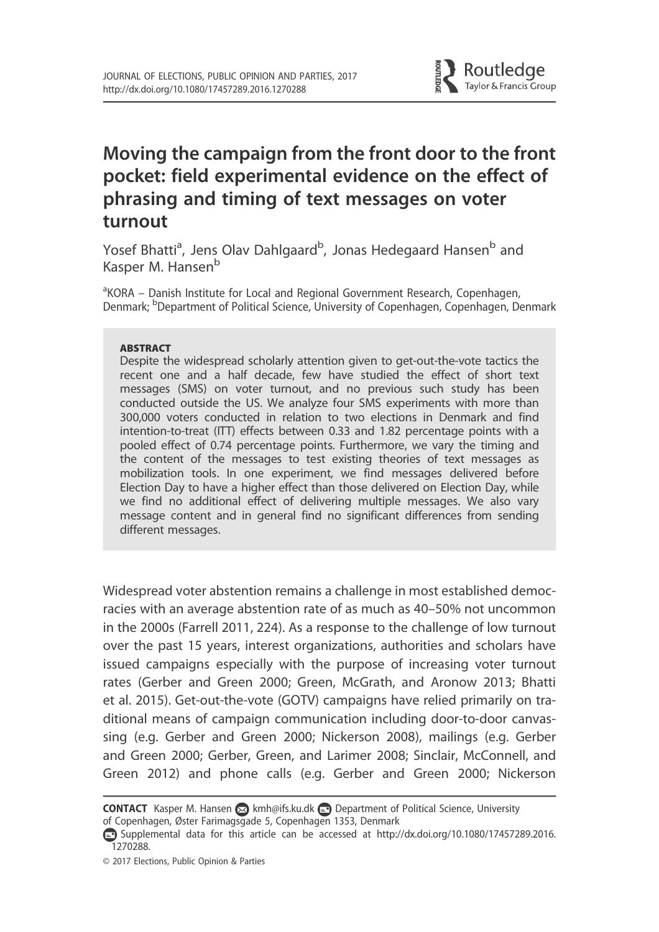

# Moving the campaign from the front door to the front pocket: field experimental evidence on the effect of phrasing and timing of text messages on voter turnout

Yosef Bhatti<sup>a</sup>, Jens Olav Dahlgaard<sup>b</sup>, Jonas Hedegaard Hansen<sup>b</sup> and Kasper M. Hansen<sup>b</sup>

<sup>a</sup>KORA – Danish Institute for Local and Regional Government Research, Copenhagen, Denmark; <sup>b</sup>Department of Political Science, University of Copenhagen, Copenhagen, Denmark

#### **ABSTRACT**

Despite the widespread scholarly attention given to get-out-the-vote tactics the recent one and a half decade, few have studied the effect of short text messages (SMS) on voter turnout, and no previous such study has been conducted outside the US. We analyze four SMS experiments with more than 300,000 voters conducted in relation to two elections in Denmark and find intention-to-treat (ITT) effects between 0.33 and 1.82 percentage points with a pooled effect of 0.74 percentage points. Furthermore, we vary the timing and the content of the messages to test existing theories of text messages as mobilization tools. In one experiment, we find messages delivered before Election Day to have a higher effect than those delivered on Election Day, while we find no additional effect of delivering multiple messages. We also vary message content and in general find no significant differences from sending different messages.

Widespread voter abstention remains a challenge in most established democracies with an average abstention rate of as much as 40–50% not uncommon in the 2000s (Farrell 2011, 224). As a response to the challenge of low turnout over the past 15 years, interest organizations, authorities and scholars have issued campaigns especially with the purpose of increasing voter turnout rates (Gerber and Green 2000; Green, McGrath, and Aronow 2013; Bhatti et al. 2015). Get-out-the-vote (GOTV) campaigns have relied primarily on traditional means of campaign communication including door-to-door canvassing (e.g. Gerber and Green 2000; Nickerson 2008), mailings (e.g. Gerber and Green 2000; Gerber, Green, and Larimer 2008; Sinclair, McConnell, and Green 2012) and phone calls (e.g. Gerber and Green 2000; Nickerson

CONTACT Kasper M. Hansen a kmh@ifs.ku.dk Department of Political Science, University of Copenhagen, Øster Farimagsgade 5, Copenhagen 1353, Denmark

Supplemental data for this article can be accessed at http://dx.doi.org/10.1080/17457289.2016. 1270288.

<sup>© 2017</sup> Elections, Public Opinion & Parties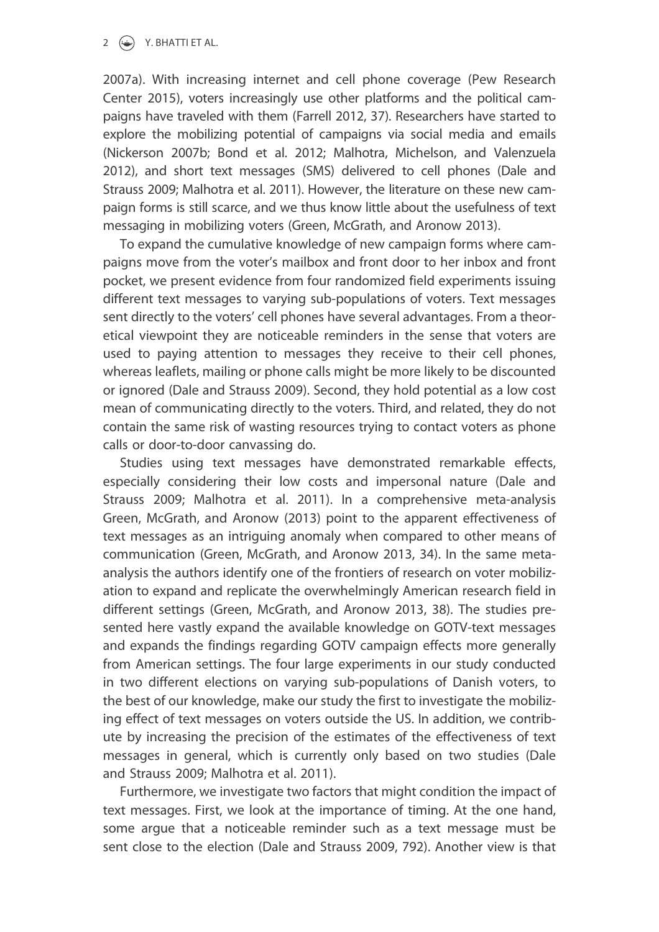#### 2  $\left(\rightarrow\right)$  Y. BHATTI ET AL.

2007a). With increasing internet and cell phone coverage (Pew Research Center 2015), voters increasingly use other platforms and the political campaigns have traveled with them (Farrell 2012, 37). Researchers have started to explore the mobilizing potential of campaigns via social media and emails (Nickerson 2007b; Bond et al. 2012; Malhotra, Michelson, and Valenzuela 2012), and short text messages (SMS) delivered to cell phones (Dale and Strauss 2009; Malhotra et al. 2011). However, the literature on these new campaign forms is still scarce, and we thus know little about the usefulness of text messaging in mobilizing voters (Green, McGrath, and Aronow 2013).

To expand the cumulative knowledge of new campaign forms where campaigns move from the voter's mailbox and front door to her inbox and front pocket, we present evidence from four randomized field experiments issuing different text messages to varying sub-populations of voters. Text messages sent directly to the voters' cell phones have several advantages. From a theoretical viewpoint they are noticeable reminders in the sense that voters are used to paying attention to messages they receive to their cell phones, whereas leaflets, mailing or phone calls might be more likely to be discounted or ignored (Dale and Strauss 2009). Second, they hold potential as a low cost mean of communicating directly to the voters. Third, and related, they do not contain the same risk of wasting resources trying to contact voters as phone calls or door-to-door canvassing do.

Studies using text messages have demonstrated remarkable effects, especially considering their low costs and impersonal nature (Dale and Strauss 2009; Malhotra et al. 2011). In a comprehensive meta-analysis Green, McGrath, and Aronow (2013) point to the apparent effectiveness of text messages as an intriguing anomaly when compared to other means of communication (Green, McGrath, and Aronow 2013, 34). In the same metaanalysis the authors identify one of the frontiers of research on voter mobilization to expand and replicate the overwhelmingly American research field in different settings (Green, McGrath, and Aronow 2013, 38). The studies presented here vastly expand the available knowledge on GOTV-text messages and expands the findings regarding GOTV campaign effects more generally from American settings. The four large experiments in our study conducted in two different elections on varying sub-populations of Danish voters, to the best of our knowledge, make our study the first to investigate the mobilizing effect of text messages on voters outside the US. In addition, we contribute by increasing the precision of the estimates of the effectiveness of text messages in general, which is currently only based on two studies (Dale and Strauss 2009; Malhotra et al. 2011).

Furthermore, we investigate two factors that might condition the impact of text messages. First, we look at the importance of timing. At the one hand, some argue that a noticeable reminder such as a text message must be sent close to the election (Dale and Strauss 2009, 792). Another view is that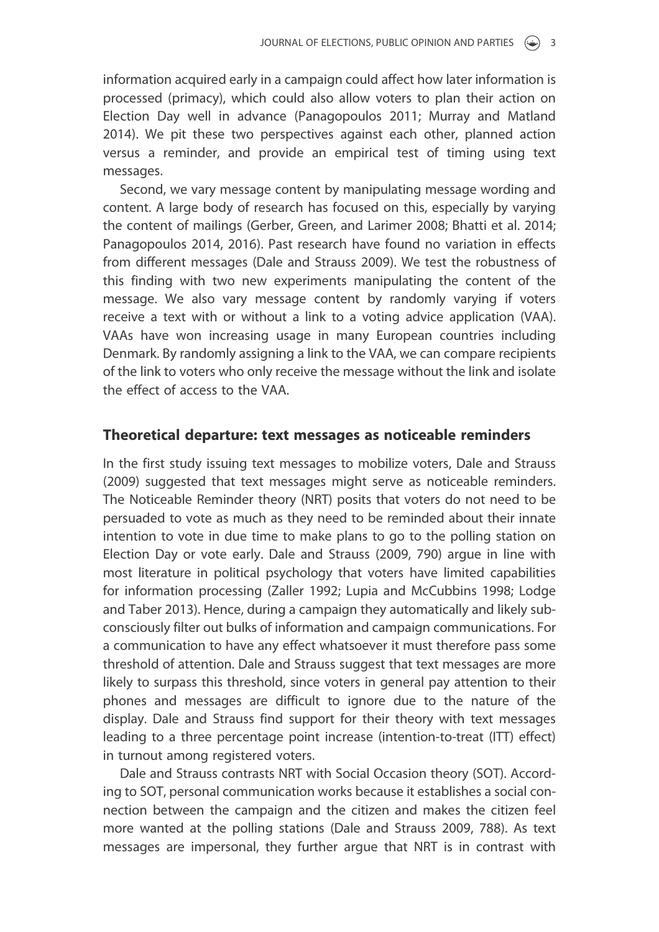information acquired early in a campaign could affect how later information is processed (primacy), which could also allow voters to plan their action on Election Day well in advance (Panagopoulos 2011; Murray and Matland 2014). We pit these two perspectives against each other, planned action versus a reminder, and provide an empirical test of timing using text messages.

Second, we vary message content by manipulating message wording and content. A large body of research has focused on this, especially by varying the content of mailings (Gerber, Green, and Larimer 2008; Bhatti et al. 2014; Panagopoulos 2014, 2016). Past research have found no variation in effects from different messages (Dale and Strauss 2009). We test the robustness of this finding with two new experiments manipulating the content of the message. We also vary message content by randomly varying if voters receive a text with or without a link to a voting advice application (VAA). VAAs have won increasing usage in many European countries including Denmark. By randomly assigning a link to the VAA, we can compare recipients of the link to voters who only receive the message without the link and isolate the effect of access to the VAA.

### Theoretical departure: text messages as noticeable reminders

In the first study issuing text messages to mobilize voters, Dale and Strauss (2009) suggested that text messages might serve as noticeable reminders. The Noticeable Reminder theory (NRT) posits that voters do not need to be persuaded to vote as much as they need to be reminded about their innate intention to vote in due time to make plans to go to the polling station on Election Day or vote early. Dale and Strauss (2009, 790) argue in line with most literature in political psychology that voters have limited capabilities for information processing (Zaller 1992; Lupia and McCubbins 1998; Lodge and Taber 2013). Hence, during a campaign they automatically and likely subconsciously filter out bulks of information and campaign communications. For a communication to have any effect whatsoever it must therefore pass some threshold of attention. Dale and Strauss suggest that text messages are more likely to surpass this threshold, since voters in general pay attention to their phones and messages are difficult to ignore due to the nature of the display. Dale and Strauss find support for their theory with text messages leading to a three percentage point increase (intention-to-treat (ITT) effect) in turnout among registered voters.

Dale and Strauss contrasts NRT with Social Occasion theory (SOT). According to SOT, personal communication works because it establishes a social connection between the campaign and the citizen and makes the citizen feel more wanted at the polling stations (Dale and Strauss 2009, 788). As text messages are impersonal, they further argue that NRT is in contrast with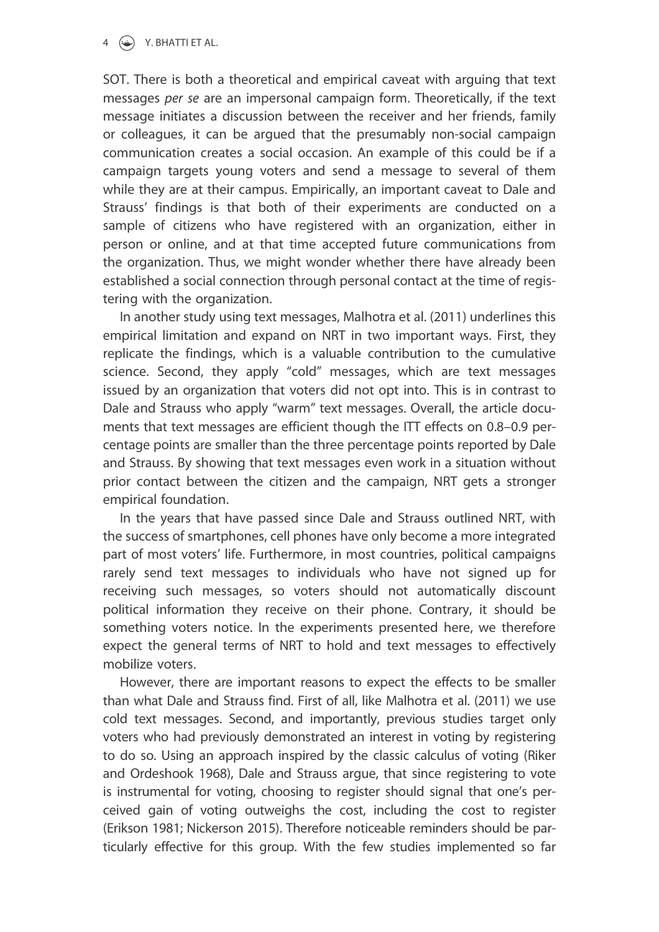#### $4 \quad \Leftrightarrow$  Y. BHATTI ET AL.

SOT. There is both a theoretical and empirical caveat with arguing that text messages per se are an impersonal campaign form. Theoretically, if the text message initiates a discussion between the receiver and her friends, family or colleagues, it can be argued that the presumably non-social campaign communication creates a social occasion. An example of this could be if a campaign targets young voters and send a message to several of them while they are at their campus. Empirically, an important caveat to Dale and Strauss' findings is that both of their experiments are conducted on a sample of citizens who have registered with an organization, either in person or online, and at that time accepted future communications from the organization. Thus, we might wonder whether there have already been established a social connection through personal contact at the time of registering with the organization.

In another study using text messages, Malhotra et al. (2011) underlines this empirical limitation and expand on NRT in two important ways. First, they replicate the findings, which is a valuable contribution to the cumulative science. Second, they apply "cold" messages, which are text messages issued by an organization that voters did not opt into. This is in contrast to Dale and Strauss who apply "warm" text messages. Overall, the article documents that text messages are efficient though the ITT effects on 0.8–0.9 percentage points are smaller than the three percentage points reported by Dale and Strauss. By showing that text messages even work in a situation without prior contact between the citizen and the campaign, NRT gets a stronger empirical foundation.

In the years that have passed since Dale and Strauss outlined NRT, with the success of smartphones, cell phones have only become a more integrated part of most voters' life. Furthermore, in most countries, political campaigns rarely send text messages to individuals who have not signed up for receiving such messages, so voters should not automatically discount political information they receive on their phone. Contrary, it should be something voters notice. In the experiments presented here, we therefore expect the general terms of NRT to hold and text messages to effectively mobilize voters.

However, there are important reasons to expect the effects to be smaller than what Dale and Strauss find. First of all, like Malhotra et al. (2011) we use cold text messages. Second, and importantly, previous studies target only voters who had previously demonstrated an interest in voting by registering to do so. Using an approach inspired by the classic calculus of voting (Riker and Ordeshook 1968), Dale and Strauss argue, that since registering to vote is instrumental for voting, choosing to register should signal that one's perceived gain of voting outweighs the cost, including the cost to register (Erikson 1981; Nickerson 2015). Therefore noticeable reminders should be particularly effective for this group. With the few studies implemented so far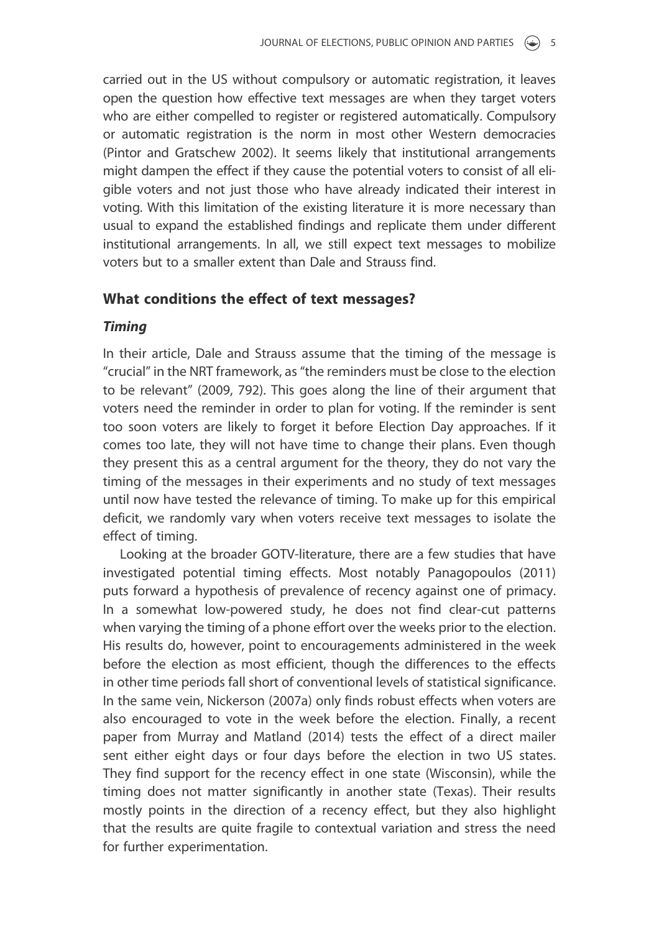carried out in the US without compulsory or automatic registration, it leaves open the question how effective text messages are when they target voters who are either compelled to register or registered automatically. Compulsory or automatic registration is the norm in most other Western democracies (Pintor and Gratschew 2002). It seems likely that institutional arrangements might dampen the effect if they cause the potential voters to consist of all eligible voters and not just those who have already indicated their interest in voting. With this limitation of the existing literature it is more necessary than usual to expand the established findings and replicate them under different institutional arrangements. In all, we still expect text messages to mobilize voters but to a smaller extent than Dale and Strauss find.

# What conditions the effect of text messages?

### Timing

In their article, Dale and Strauss assume that the timing of the message is "crucial" in the NRT framework, as "the reminders must be close to the election to be relevant" (2009, 792). This goes along the line of their argument that voters need the reminder in order to plan for voting. If the reminder is sent too soon voters are likely to forget it before Election Day approaches. If it comes too late, they will not have time to change their plans. Even though they present this as a central argument for the theory, they do not vary the timing of the messages in their experiments and no study of text messages until now have tested the relevance of timing. To make up for this empirical deficit, we randomly vary when voters receive text messages to isolate the effect of timing.

Looking at the broader GOTV-literature, there are a few studies that have investigated potential timing effects. Most notably Panagopoulos (2011) puts forward a hypothesis of prevalence of recency against one of primacy. In a somewhat low-powered study, he does not find clear-cut patterns when varying the timing of a phone effort over the weeks prior to the election. His results do, however, point to encouragements administered in the week before the election as most efficient, though the differences to the effects in other time periods fall short of conventional levels of statistical significance. In the same vein, Nickerson (2007a) only finds robust effects when voters are also encouraged to vote in the week before the election. Finally, a recent paper from Murray and Matland (2014) tests the effect of a direct mailer sent either eight days or four days before the election in two US states. They find support for the recency effect in one state (Wisconsin), while the timing does not matter significantly in another state (Texas). Their results mostly points in the direction of a recency effect, but they also highlight that the results are quite fragile to contextual variation and stress the need for further experimentation.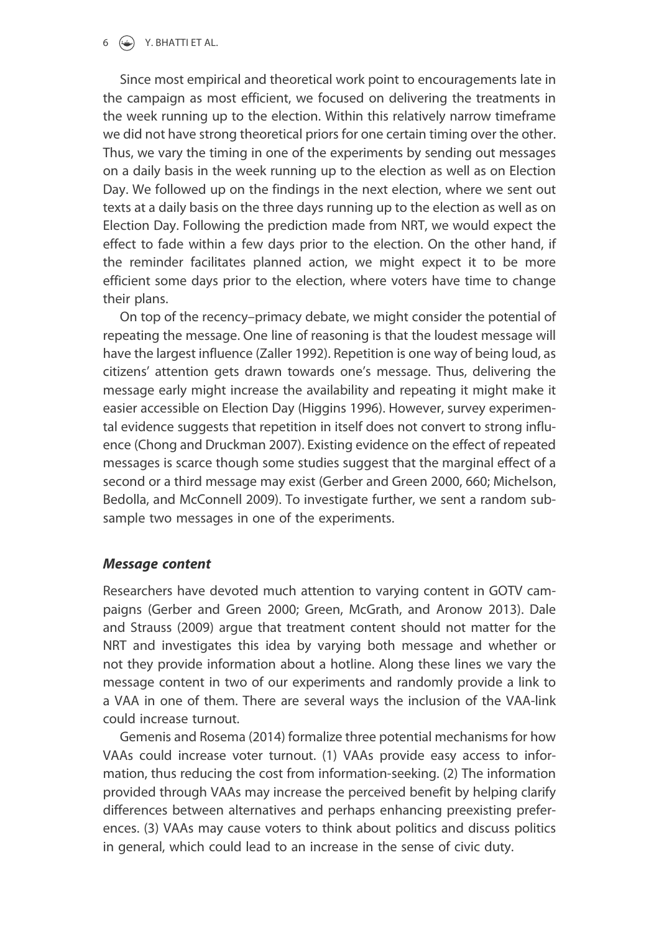$6 \quad (*)$  Y. BHATTI ET AL.

Since most empirical and theoretical work point to encouragements late in the campaign as most efficient, we focused on delivering the treatments in the week running up to the election. Within this relatively narrow timeframe we did not have strong theoretical priors for one certain timing over the other. Thus, we vary the timing in one of the experiments by sending out messages on a daily basis in the week running up to the election as well as on Election Day. We followed up on the findings in the next election, where we sent out texts at a daily basis on the three days running up to the election as well as on Election Day. Following the prediction made from NRT, we would expect the effect to fade within a few days prior to the election. On the other hand, if the reminder facilitates planned action, we might expect it to be more efficient some days prior to the election, where voters have time to change their plans.

On top of the recency–primacy debate, we might consider the potential of repeating the message. One line of reasoning is that the loudest message will have the largest influence (Zaller 1992). Repetition is one way of being loud, as citizens' attention gets drawn towards one's message. Thus, delivering the message early might increase the availability and repeating it might make it easier accessible on Election Day (Higgins 1996). However, survey experimental evidence suggests that repetition in itself does not convert to strong influence (Chong and Druckman 2007). Existing evidence on the effect of repeated messages is scarce though some studies suggest that the marginal effect of a second or a third message may exist (Gerber and Green 2000, 660; Michelson, Bedolla, and McConnell 2009). To investigate further, we sent a random subsample two messages in one of the experiments.

### Message content

Researchers have devoted much attention to varying content in GOTV campaigns (Gerber and Green 2000; Green, McGrath, and Aronow 2013). Dale and Strauss (2009) argue that treatment content should not matter for the NRT and investigates this idea by varying both message and whether or not they provide information about a hotline. Along these lines we vary the message content in two of our experiments and randomly provide a link to a VAA in one of them. There are several ways the inclusion of the VAA-link could increase turnout.

Gemenis and Rosema (2014) formalize three potential mechanisms for how VAAs could increase voter turnout. (1) VAAs provide easy access to information, thus reducing the cost from information-seeking. (2) The information provided through VAAs may increase the perceived benefit by helping clarify differences between alternatives and perhaps enhancing preexisting preferences. (3) VAAs may cause voters to think about politics and discuss politics in general, which could lead to an increase in the sense of civic duty.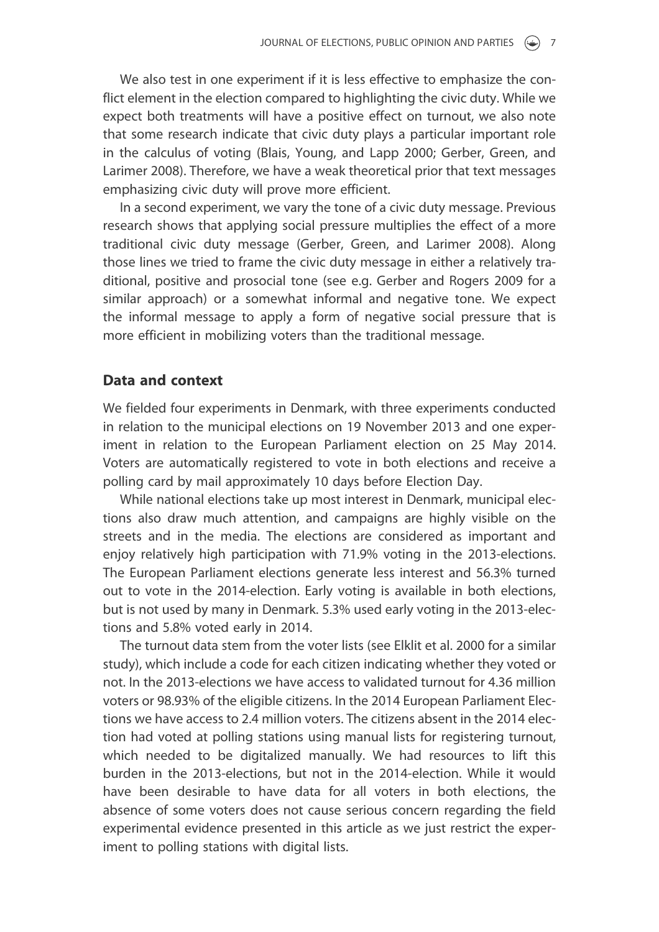We also test in one experiment if it is less effective to emphasize the conflict element in the election compared to highlighting the civic duty. While we expect both treatments will have a positive effect on turnout, we also note that some research indicate that civic duty plays a particular important role in the calculus of voting (Blais, Young, and Lapp 2000; Gerber, Green, and Larimer 2008). Therefore, we have a weak theoretical prior that text messages emphasizing civic duty will prove more efficient.

In a second experiment, we vary the tone of a civic duty message. Previous research shows that applying social pressure multiplies the effect of a more traditional civic duty message (Gerber, Green, and Larimer 2008). Along those lines we tried to frame the civic duty message in either a relatively traditional, positive and prosocial tone (see e.g. Gerber and Rogers 2009 for a similar approach) or a somewhat informal and negative tone. We expect the informal message to apply a form of negative social pressure that is more efficient in mobilizing voters than the traditional message.

### Data and context

We fielded four experiments in Denmark, with three experiments conducted in relation to the municipal elections on 19 November 2013 and one experiment in relation to the European Parliament election on 25 May 2014. Voters are automatically registered to vote in both elections and receive a polling card by mail approximately 10 days before Election Day.

While national elections take up most interest in Denmark, municipal elections also draw much attention, and campaigns are highly visible on the streets and in the media. The elections are considered as important and enjoy relatively high participation with 71.9% voting in the 2013-elections. The European Parliament elections generate less interest and 56.3% turned out to vote in the 2014-election. Early voting is available in both elections, but is not used by many in Denmark. 5.3% used early voting in the 2013-elections and 5.8% voted early in 2014.

The turnout data stem from the voter lists (see Elklit et al. 2000 for a similar study), which include a code for each citizen indicating whether they voted or not. In the 2013-elections we have access to validated turnout for 4.36 million voters or 98.93% of the eligible citizens. In the 2014 European Parliament Elections we have access to 2.4 million voters. The citizens absent in the 2014 election had voted at polling stations using manual lists for registering turnout, which needed to be digitalized manually. We had resources to lift this burden in the 2013-elections, but not in the 2014-election. While it would have been desirable to have data for all voters in both elections, the absence of some voters does not cause serious concern regarding the field experimental evidence presented in this article as we just restrict the experiment to polling stations with digital lists.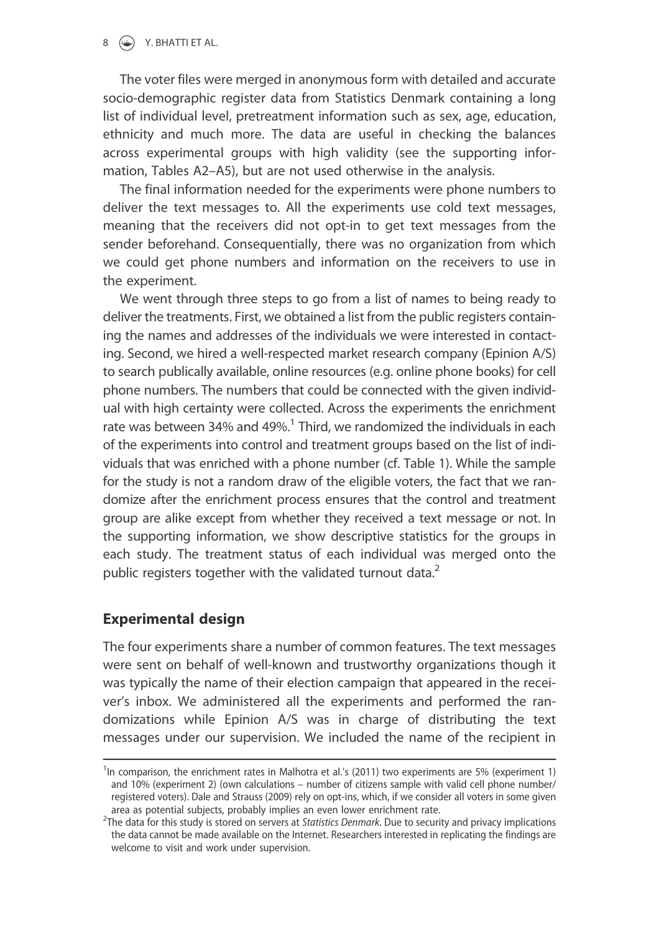$8 \quad (*)$  Y. BHATTI ET AL.

The voter files were merged in anonymous form with detailed and accurate socio-demographic register data from Statistics Denmark containing a long list of individual level, pretreatment information such as sex, age, education, ethnicity and much more. The data are useful in checking the balances across experimental groups with high validity (see the supporting information, Tables A2–A5), but are not used otherwise in the analysis.

The final information needed for the experiments were phone numbers to deliver the text messages to. All the experiments use cold text messages, meaning that the receivers did not opt-in to get text messages from the sender beforehand. Consequentially, there was no organization from which we could get phone numbers and information on the receivers to use in the experiment.

We went through three steps to go from a list of names to being ready to deliver the treatments. First, we obtained a list from the public registers containing the names and addresses of the individuals we were interested in contacting. Second, we hired a well-respected market research company (Epinion A/S) to search publically available, online resources (e.g. online phone books) for cell phone numbers. The numbers that could be connected with the given individual with high certainty were collected. Across the experiments the enrichment rate was between 34% and 49%.<sup>1</sup> Third, we randomized the individuals in each of the experiments into control and treatment groups based on the list of individuals that was enriched with a phone number (cf. Table 1). While the sample for the study is not a random draw of the eligible voters, the fact that we randomize after the enrichment process ensures that the control and treatment group are alike except from whether they received a text message or not. In the supporting information, we show descriptive statistics for the groups in each study. The treatment status of each individual was merged onto the public registers together with the validated turnout data. $2$ 

# Experimental design

The four experiments share a number of common features. The text messages were sent on behalf of well-known and trustworthy organizations though it was typically the name of their election campaign that appeared in the receiver's inbox. We administered all the experiments and performed the randomizations while Epinion A/S was in charge of distributing the text messages under our supervision. We included the name of the recipient in

<sup>&</sup>lt;sup>1</sup>In comparison, the enrichment rates in Malhotra et al.'s (2011) two experiments are 5% (experiment 1) and 10% (experiment 2) (own calculations – number of citizens sample with valid cell phone number/ registered voters). Dale and Strauss (2009) rely on opt-ins, which, if we consider all voters in some given area as potential subjects, probably implies an even lower enrichment rate.

<sup>&</sup>lt;sup>2</sup>The data for this study is stored on servers at Statistics Denmark. Due to security and privacy implications the data cannot be made available on the Internet. Researchers interested in replicating the findings are welcome to visit and work under supervision.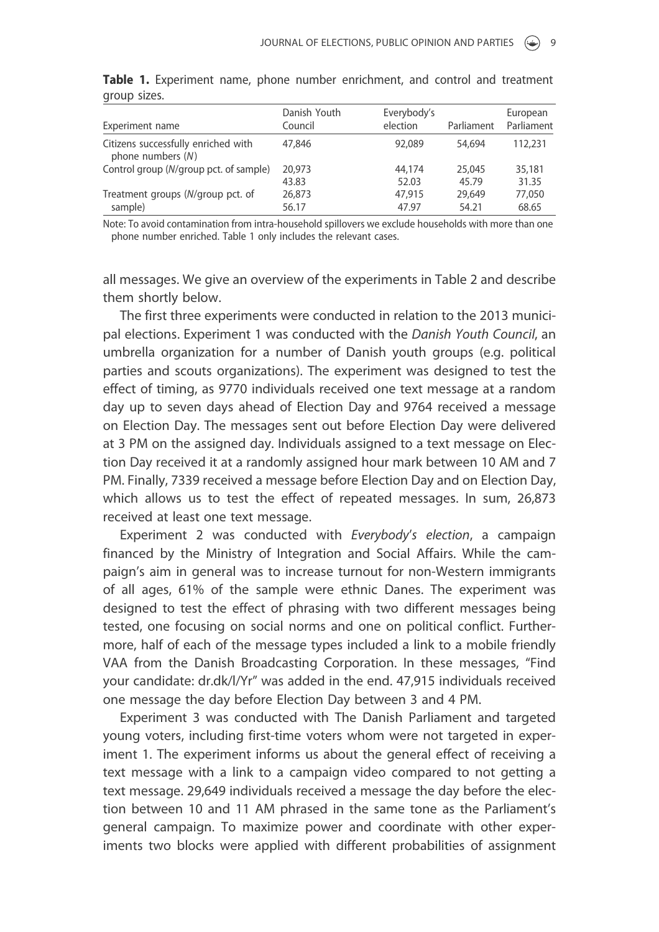| Experiment name                                            | Danish Youth<br>Council | Everybody's<br>election | Parliament | European<br>Parliament |
|------------------------------------------------------------|-------------------------|-------------------------|------------|------------------------|
| Citizens successfully enriched with<br>phone numbers $(N)$ | 47,846                  | 92,089                  | 54,694     | 112,231                |
| Control group (N/group pct. of sample)                     | 20,973                  | 44,174                  | 25,045     | 35,181                 |
|                                                            | 43.83                   | 52.03                   | 45.79      | 31.35                  |
| Treatment groups (N/group pct. of                          | 26,873                  | 47,915                  | 29,649     | 77,050                 |
| sample)                                                    | 56.17                   | 47.97                   | 54.21      | 68.65                  |

**Table 1.** Experiment name, phone number enrichment, and control and treatment group sizes.

Note: To avoid contamination from intra-household spillovers we exclude households with more than one phone number enriched. Table 1 only includes the relevant cases.

all messages. We give an overview of the experiments in Table 2 and describe them shortly below.

The first three experiments were conducted in relation to the 2013 municipal elections. Experiment 1 was conducted with the Danish Youth Council, an umbrella organization for a number of Danish youth groups (e.g. political parties and scouts organizations). The experiment was designed to test the effect of timing, as 9770 individuals received one text message at a random day up to seven days ahead of Election Day and 9764 received a message on Election Day. The messages sent out before Election Day were delivered at 3 PM on the assigned day. Individuals assigned to a text message on Election Day received it at a randomly assigned hour mark between 10 AM and 7 PM. Finally, 7339 received a message before Election Day and on Election Day, which allows us to test the effect of repeated messages. In sum, 26,873 received at least one text message.

Experiment 2 was conducted with Everybody's election, a campaign financed by the Ministry of Integration and Social Affairs. While the campaign's aim in general was to increase turnout for non-Western immigrants of all ages, 61% of the sample were ethnic Danes. The experiment was designed to test the effect of phrasing with two different messages being tested, one focusing on social norms and one on political conflict. Furthermore, half of each of the message types included a link to a mobile friendly VAA from the Danish Broadcasting Corporation. In these messages, "Find your candidate: dr.dk/l/Yr" was added in the end. 47,915 individuals received one message the day before Election Day between 3 and 4 PM.

Experiment 3 was conducted with The Danish Parliament and targeted young voters, including first-time voters whom were not targeted in experiment 1. The experiment informs us about the general effect of receiving a text message with a link to a campaign video compared to not getting a text message. 29,649 individuals received a message the day before the election between 10 and 11 AM phrased in the same tone as the Parliament's general campaign. To maximize power and coordinate with other experiments two blocks were applied with different probabilities of assignment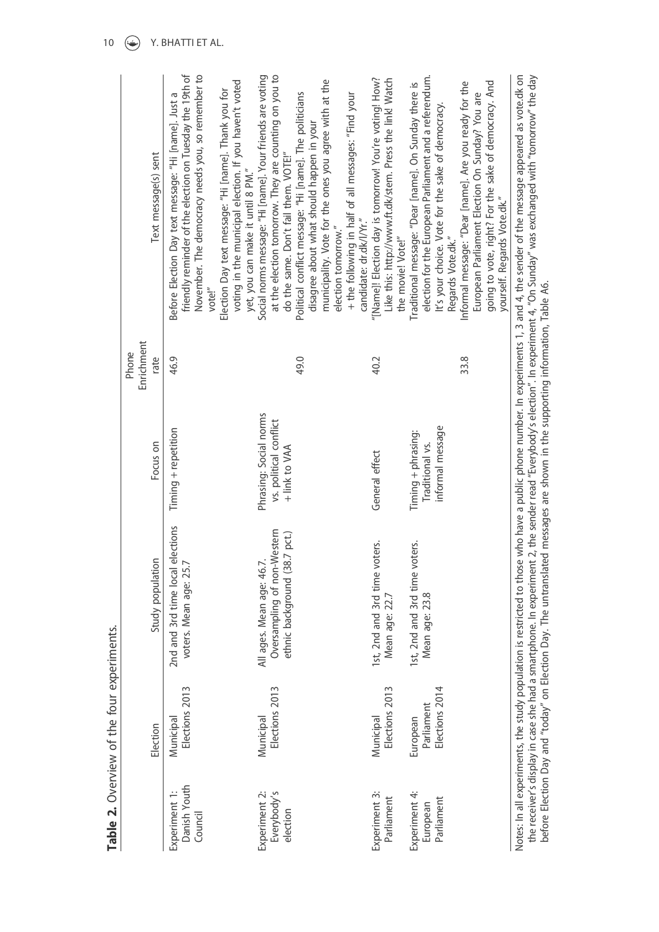|                                          | Table 2. Overview of the four experiments. |                                                                                         |                                                                   |                             |                                                                                                                                                                                                                                                                                                   |
|------------------------------------------|--------------------------------------------|-----------------------------------------------------------------------------------------|-------------------------------------------------------------------|-----------------------------|---------------------------------------------------------------------------------------------------------------------------------------------------------------------------------------------------------------------------------------------------------------------------------------------------|
|                                          | Election                                   | Study population                                                                        | Focus on                                                          | Enrichment<br>Phone<br>rate | Text message(s) sent                                                                                                                                                                                                                                                                              |
| Danish Youth<br>Experiment 1:<br>Council | Elections 2013<br>Municipal                | elections<br>voters. Mean age: 25.<br>2nd and 3rd time local                            | Timing + repetition                                               | 46.9                        | friendly reminder of the election on Tuesday the 19th of<br>November. The democracy needs you, so remember to<br>voting in the municipal election. If you haven't voted<br>Election Day text message: "Hi [name]. Thank you for<br>Before Election Day text message: "Hi [name]. Just a<br>vote!" |
| Everybody's<br>Experiment 2:<br>election | Elections 2013<br>Municipal                | Oversampling of non-Western<br>ethnic background (38.7 pct.)<br>All ages. Mean age: 46. | Phrasing: Social norms<br>vs. political conflict<br>+ link to VAA |                             | at the election tomorrow. They are counting on you to<br>Social norms message: "Hi [name]. Your friends are voting<br>do the same. Don't fail them. VOTE!"<br>yet, you can make it until 8 PM."                                                                                                   |
|                                          |                                            |                                                                                         |                                                                   | 49.0                        | municipality. Vote for the ones you agree with at the<br>Political conflict message: "Hi [name]. The politicians<br>+ the following in half of all messages: "Find your<br>disagree about what should happen in your<br>election tomorrow."                                                       |
| Experiment 3:<br>Parliament              | Elections 2013<br>Municipal                | 1st, 2nd and 3rd time voters.<br>Mean age: 22.7                                         | General effect                                                    | 40.2                        | Like this: http://www.ft.dk/stem. Press the link! Watch<br>"[Name]! Election day is tomorrow! You're voting! How?<br>candidate: dr.dk/l/Yr."<br>the movie! Vote!"                                                                                                                                 |
| Experiment 4:<br>Parliament<br>European  | Elections 2014<br>Parliament<br>European   | 1st, 2nd and 3rd time voters.<br>Mean age: 23.8                                         | informal message<br>Timing + phrasing:<br>Traditional vs.         |                             | election for the European Parliament and a referendum.<br>Traditional message: "Dear [name]. On Sunday there is<br>It's your choice. Vote for the sake of democracy.<br>Regards Vote.dk."                                                                                                         |
|                                          |                                            |                                                                                         |                                                                   | 33.8                        | going to vote, right? For the sake of democracy. And<br>Informal message: "Dear [name]. Are you ready for the<br>European Parliament Election On Sunday? You are<br>yourself. Regards Vote.dk."                                                                                                   |
|                                          |                                            |                                                                                         |                                                                   |                             | Notes: In all experiments, the study population is restricted to those who have a public phone number. In experiments 1, 3 and 4, the sender of the message appeared as vote.dk on                                                                                                                |

the receiver's display in case she had a smartphone. In experiment 2, the sender read "Everybody's election". In experiment 4, "On Sunday" was exchanged with "tomorrow" the day<br>before Election Day and "today" on Election D the receiver's display in case she had a smartphone. In experiment 2, the sender read "Everybody's election". In experiment 4, "On Sunday" was exchanged with "tomorrow" the day before Election Day and "today" on Election Day. The untranslated messages are shown in the supporting information, Table A6.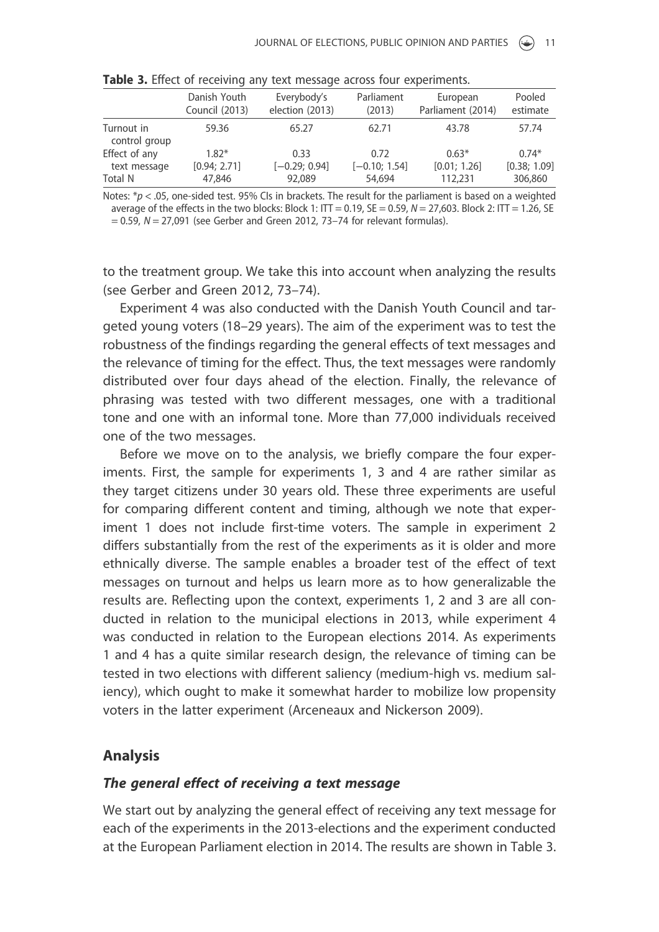|                             | Danish Youth          | Everybody's     | Parliament      | European          | Pooled       |
|-----------------------------|-----------------------|-----------------|-----------------|-------------------|--------------|
|                             | <b>Council (2013)</b> | election (2013) | (2013)          | Parliament (2014) | estimate     |
| Turnout in<br>control group | 59.36                 | 65.27           | 62.71           | 43.78             | 57.74        |
| Effect of any               | $1.82*$               | 0.33            | 0.72            | $0.63*$           | $0.74*$      |
| text message                | [0.94; 2.71]          | $[-0.29; 0.94]$ | $[-0.10; 1.54]$ | [0.01; 1.26]      | [0.38; 1.09] |
| Total N                     | 47,846                | 92,089          | 54,694          | 112,231           | 306,860      |

Table 3. Effect of receiving any text message across four experiments.

Notes:  $*_p$  < .05, one-sided test. 95% CIs in brackets. The result for the parliament is based on a weighted average of the effects in the two blocks: Block 1: ITT = 0.19, SE = 0.59,  $N = 27,603$ . Block 2: ITT = 1.26, SE  $= 0.59$ ,  $N = 27,091$  (see Gerber and Green 2012, 73–74 for relevant formulas).

to the treatment group. We take this into account when analyzing the results (see Gerber and Green 2012, 73–74).

Experiment 4 was also conducted with the Danish Youth Council and targeted young voters (18–29 years). The aim of the experiment was to test the robustness of the findings regarding the general effects of text messages and the relevance of timing for the effect. Thus, the text messages were randomly distributed over four days ahead of the election. Finally, the relevance of phrasing was tested with two different messages, one with a traditional tone and one with an informal tone. More than 77,000 individuals received one of the two messages.

Before we move on to the analysis, we briefly compare the four experiments. First, the sample for experiments 1, 3 and 4 are rather similar as they target citizens under 30 years old. These three experiments are useful for comparing different content and timing, although we note that experiment 1 does not include first-time voters. The sample in experiment 2 differs substantially from the rest of the experiments as it is older and more ethnically diverse. The sample enables a broader test of the effect of text messages on turnout and helps us learn more as to how generalizable the results are. Reflecting upon the context, experiments 1, 2 and 3 are all conducted in relation to the municipal elections in 2013, while experiment 4 was conducted in relation to the European elections 2014. As experiments 1 and 4 has a quite similar research design, the relevance of timing can be tested in two elections with different saliency (medium-high vs. medium saliency), which ought to make it somewhat harder to mobilize low propensity voters in the latter experiment (Arceneaux and Nickerson 2009).

#### Analysis

#### The general effect of receiving a text message

We start out by analyzing the general effect of receiving any text message for each of the experiments in the 2013-elections and the experiment conducted at the European Parliament election in 2014. The results are shown in Table 3.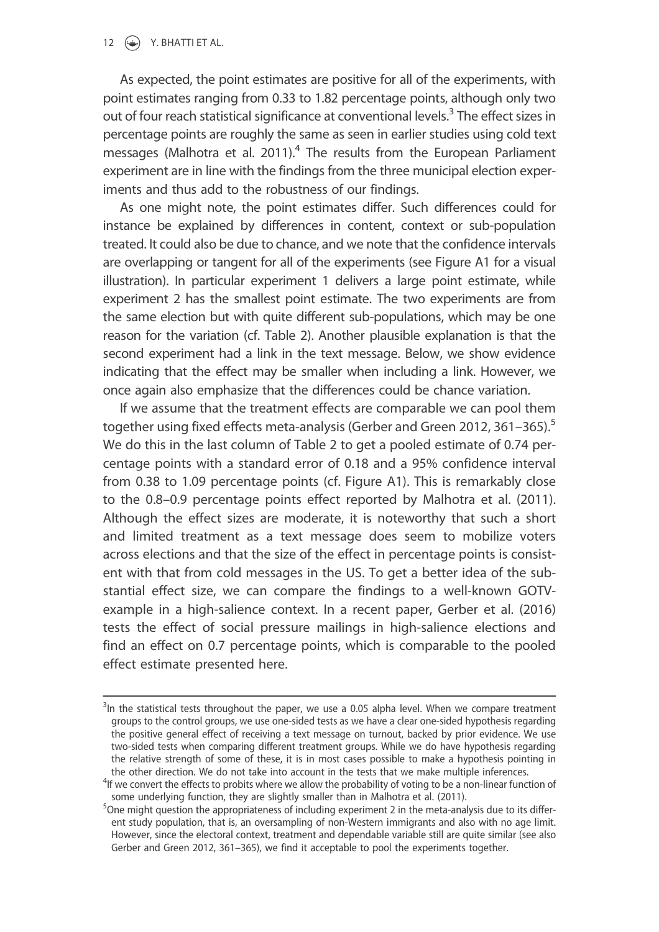### 12  $\left(\frac{1}{2}\right)$  Y. BHATTI ET AL.

As expected, the point estimates are positive for all of the experiments, with point estimates ranging from 0.33 to 1.82 percentage points, although only two out of four reach statistical significance at conventional levels.<sup>3</sup> The effect sizes in percentage points are roughly the same as seen in earlier studies using cold text messages (Malhotra et al. 2011).<sup>4</sup> The results from the European Parliament experiment are in line with the findings from the three municipal election experiments and thus add to the robustness of our findings.

As one might note, the point estimates differ. Such differences could for instance be explained by differences in content, context or sub-population treated. It could also be due to chance, and we note that the confidence intervals are overlapping or tangent for all of the experiments (see Figure A1 for a visual illustration). In particular experiment 1 delivers a large point estimate, while experiment 2 has the smallest point estimate. The two experiments are from the same election but with quite different sub-populations, which may be one reason for the variation (cf. Table 2). Another plausible explanation is that the second experiment had a link in the text message. Below, we show evidence indicating that the effect may be smaller when including a link. However, we once again also emphasize that the differences could be chance variation.

If we assume that the treatment effects are comparable we can pool them together using fixed effects meta-analysis (Gerber and Green 2012, 361–365).<sup>5</sup> We do this in the last column of Table 2 to get a pooled estimate of 0.74 percentage points with a standard error of 0.18 and a 95% confidence interval from 0.38 to 1.09 percentage points (cf. Figure A1). This is remarkably close to the 0.8–0.9 percentage points effect reported by Malhotra et al. (2011). Although the effect sizes are moderate, it is noteworthy that such a short and limited treatment as a text message does seem to mobilize voters across elections and that the size of the effect in percentage points is consistent with that from cold messages in the US. To get a better idea of the substantial effect size, we can compare the findings to a well-known GOTVexample in a high-salience context. In a recent paper, Gerber et al. (2016) tests the effect of social pressure mailings in high-salience elections and find an effect on 0.7 percentage points, which is comparable to the pooled effect estimate presented here.

 $3$ In the statistical tests throughout the paper, we use a 0.05 alpha level. When we compare treatment groups to the control groups, we use one-sided tests as we have a clear one-sided hypothesis regarding the positive general effect of receiving a text message on turnout, backed by prior evidence. We use two-sided tests when comparing different treatment groups. While we do have hypothesis regarding the relative strength of some of these, it is in most cases possible to make a hypothesis pointing in the other direction. We do not take into account in the tests that we make multiple inferences.

<sup>&</sup>lt;sup>4</sup>If we convert the effects to probits where we allow the probability of voting to be a non-linear function of some underlying function, they are slightly smaller than in Malhotra et al. (2011).

<sup>&</sup>lt;sup>5</sup>One might question the appropriateness of including experiment 2 in the meta-analysis due to its different study population, that is, an oversampling of non-Western immigrants and also with no age limit. However, since the electoral context, treatment and dependable variable still are quite similar (see also Gerber and Green 2012, 361–365), we find it acceptable to pool the experiments together.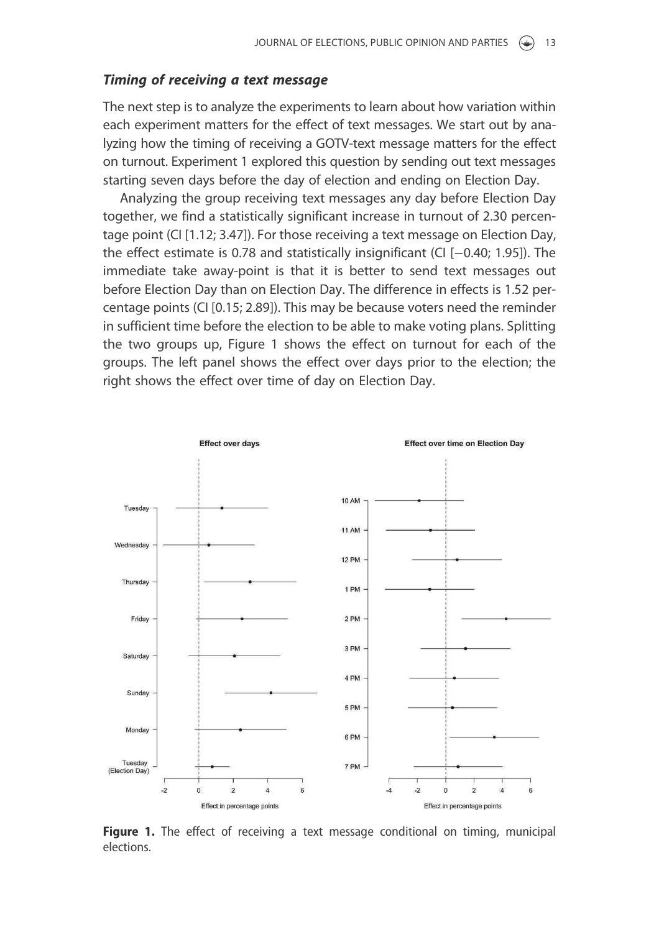#### Timing of receiving a text message

The next step is to analyze the experiments to learn about how variation within each experiment matters for the effect of text messages. We start out by analyzing how the timing of receiving a GOTV-text message matters for the effect on turnout. Experiment 1 explored this question by sending out text messages starting seven days before the day of election and ending on Election Day.

Analyzing the group receiving text messages any day before Election Day together, we find a statistically significant increase in turnout of 2.30 percentage point (CI [1.12; 3.47]). For those receiving a text message on Election Day, the effect estimate is 0.78 and statistically insignificant (CI [−0.40; 1.95]). The immediate take away-point is that it is better to send text messages out before Election Day than on Election Day. The difference in effects is 1.52 percentage points (CI [0.15; 2.89]). This may be because voters need the reminder in sufficient time before the election to be able to make voting plans. Splitting the two groups up, Figure 1 shows the effect on turnout for each of the groups. The left panel shows the effect over days prior to the election; the right shows the effect over time of day on Election Day.



**Figure 1.** The effect of receiving a text message conditional on timing, municipal elections.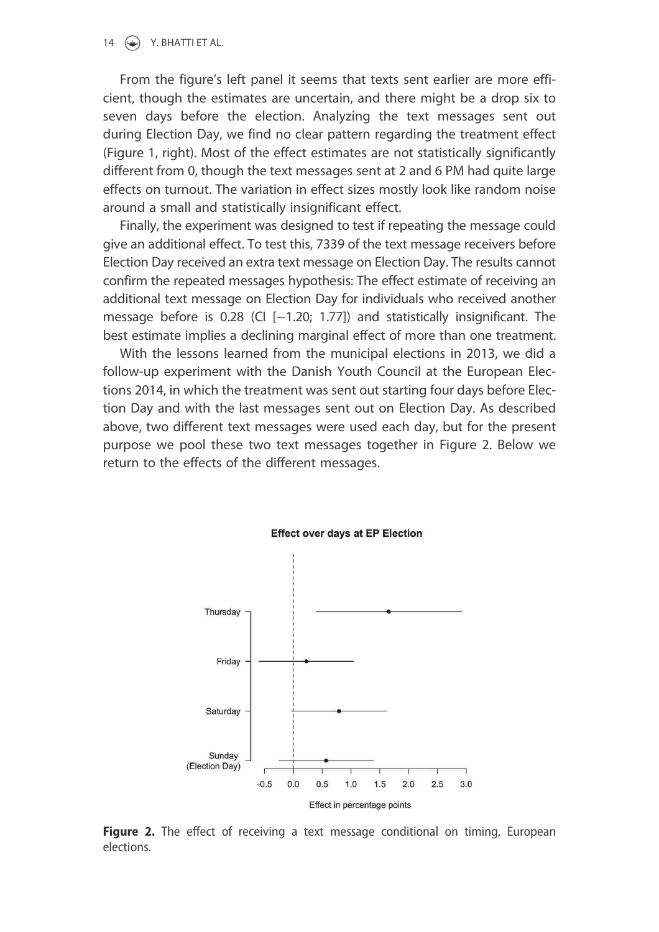#### 14  $\left(\frac{1}{2}\right)$  Y. BHATTI ET AL.

From the figure's left panel it seems that texts sent earlier are more efficient, though the estimates are uncertain, and there might be a drop six to seven days before the election. Analyzing the text messages sent out during Election Day, we find no clear pattern regarding the treatment effect (Figure 1, right). Most of the effect estimates are not statistically significantly different from 0, though the text messages sent at 2 and 6 PM had quite large effects on turnout. The variation in effect sizes mostly look like random noise around a small and statistically insignificant effect.

Finally, the experiment was designed to test if repeating the message could give an additional effect. To test this, 7339 of the text message receivers before Election Day received an extra text message on Election Day. The results cannot confirm the repeated messages hypothesis: The effect estimate of receiving an additional text message on Election Day for individuals who received another message before is 0.28 (CI [−1.20; 1.77]) and statistically insignificant. The best estimate implies a declining marginal effect of more than one treatment.

With the lessons learned from the municipal elections in 2013, we did a follow-up experiment with the Danish Youth Council at the European Elections 2014, in which the treatment was sent out starting four days before Election Day and with the last messages sent out on Election Day. As described above, two different text messages were used each day, but for the present purpose we pool these two text messages together in Figure 2. Below we return to the effects of the different messages.



**Effect over days at EP Election** 

Figure 2. The effect of receiving a text message conditional on timing, European elections.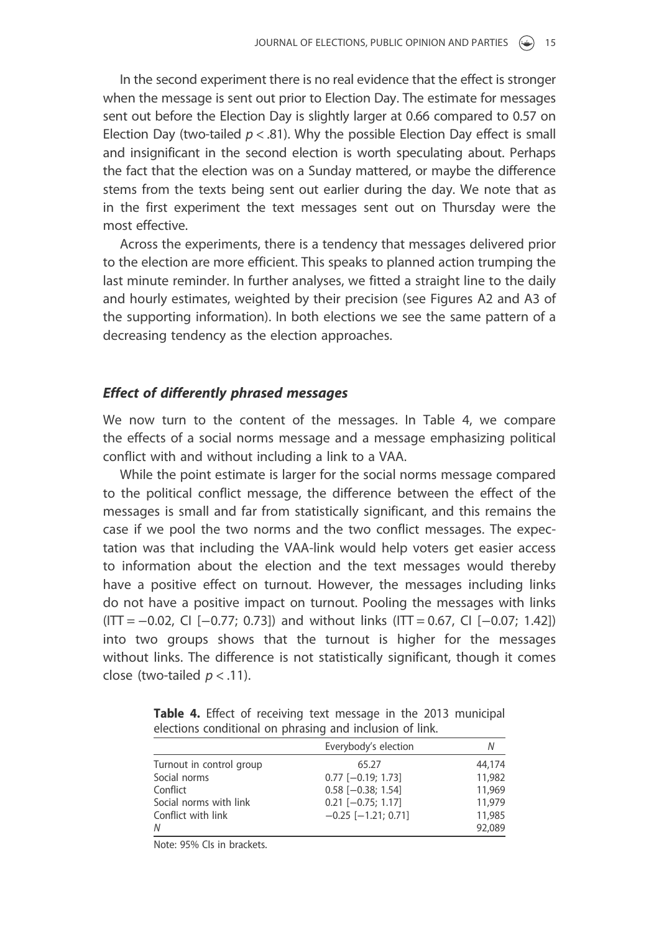In the second experiment there is no real evidence that the effect is stronger when the message is sent out prior to Election Day. The estimate for messages sent out before the Election Day is slightly larger at 0.66 compared to 0.57 on Election Day (two-tailed  $p < .81$ ). Why the possible Election Day effect is small and insignificant in the second election is worth speculating about. Perhaps the fact that the election was on a Sunday mattered, or maybe the difference stems from the texts being sent out earlier during the day. We note that as in the first experiment the text messages sent out on Thursday were the most effective.

Across the experiments, there is a tendency that messages delivered prior to the election are more efficient. This speaks to planned action trumping the last minute reminder. In further analyses, we fitted a straight line to the daily and hourly estimates, weighted by their precision (see Figures A2 and A3 of the supporting information). In both elections we see the same pattern of a decreasing tendency as the election approaches.

### Effect of differently phrased messages

We now turn to the content of the messages. In Table 4, we compare the effects of a social norms message and a message emphasizing political conflict with and without including a link to a VAA.

While the point estimate is larger for the social norms message compared to the political conflict message, the difference between the effect of the messages is small and far from statistically significant, and this remains the case if we pool the two norms and the two conflict messages. The expectation was that including the VAA-link would help voters get easier access to information about the election and the text messages would thereby have a positive effect on turnout. However, the messages including links do not have a positive impact on turnout. Pooling the messages with links  $(ITT = -0.02, CI [-0.77; 0.73])$  and without links  $(ITT = 0.67, CI [-0.07; 1.42])$ into two groups shows that the turnout is higher for the messages without links. The difference is not statistically significant, though it comes close (two-tailed  $p < .11$ ).

|                          | Everybody's election      | Ν      |
|--------------------------|---------------------------|--------|
| Turnout in control group | 65.27                     | 44,174 |
| Social norms             | $0.77$ $[-0.19; 1.73]$    | 11,982 |
| Conflict                 | $0.58$ [-0.38; 1.54]      | 11,969 |
| Social norms with link   | $0.21$ [-0.75; 1.17]      | 11,979 |
| Conflict with link       | $-0.25$ [ $-1.21$ ; 0.71] | 11,985 |
| N                        |                           | 92,089 |

Table 4. Effect of receiving text message in the 2013 municipal elections conditional on phrasing and inclusion of link.

Note: 95% CIs in brackets.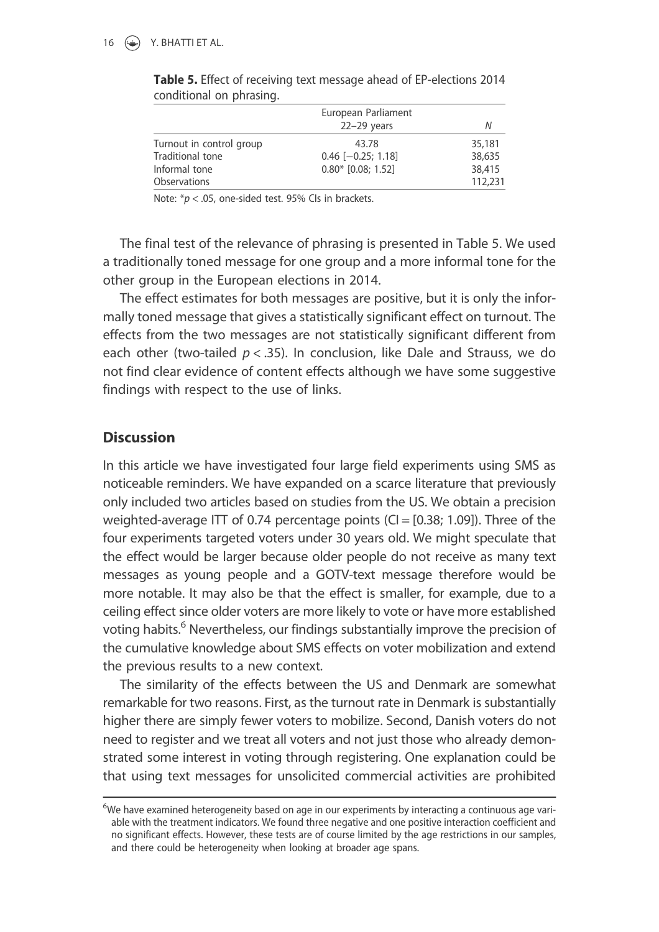|                          | European Parliament<br>$22-29$ years | Ν       |
|--------------------------|--------------------------------------|---------|
|                          |                                      |         |
| Turnout in control group | 43.78                                | 35,181  |
| Traditional tone         | $0.46$ [ $-0.25$ ; 1.18]             | 38,635  |
| Informal tone            | $0.80*$ [0.08; 1.52]                 | 38,415  |
| <b>Observations</b>      |                                      | 112,231 |

Table 5. Effect of receiving text message ahead of EP-elections 2014 conditional on phrasing.

Note:  $* p < .05$ , one-sided test. 95% Cls in brackets.

The final test of the relevance of phrasing is presented in Table 5. We used a traditionally toned message for one group and a more informal tone for the other group in the European elections in 2014.

The effect estimates for both messages are positive, but it is only the informally toned message that gives a statistically significant effect on turnout. The effects from the two messages are not statistically significant different from each other (two-tailed  $p < .35$ ). In conclusion, like Dale and Strauss, we do not find clear evidence of content effects although we have some suggestive findings with respect to the use of links.

### **Discussion**

In this article we have investigated four large field experiments using SMS as noticeable reminders. We have expanded on a scarce literature that previously only included two articles based on studies from the US. We obtain a precision weighted-average ITT of 0.74 percentage points  $(Cl = [0.38; 1.09])$ . Three of the four experiments targeted voters under 30 years old. We might speculate that the effect would be larger because older people do not receive as many text messages as young people and a GOTV-text message therefore would be more notable. It may also be that the effect is smaller, for example, due to a ceiling effect since older voters are more likely to vote or have more established voting habits.<sup>6</sup> Nevertheless, our findings substantially improve the precision of the cumulative knowledge about SMS effects on voter mobilization and extend the previous results to a new context.

The similarity of the effects between the US and Denmark are somewhat remarkable for two reasons. First, as the turnout rate in Denmark is substantially higher there are simply fewer voters to mobilize. Second, Danish voters do not need to register and we treat all voters and not just those who already demonstrated some interest in voting through registering. One explanation could be that using text messages for unsolicited commercial activities are prohibited

 $6$ We have examined heterogeneity based on age in our experiments by interacting a continuous age variable with the treatment indicators. We found three negative and one positive interaction coefficient and no significant effects. However, these tests are of course limited by the age restrictions in our samples, and there could be heterogeneity when looking at broader age spans.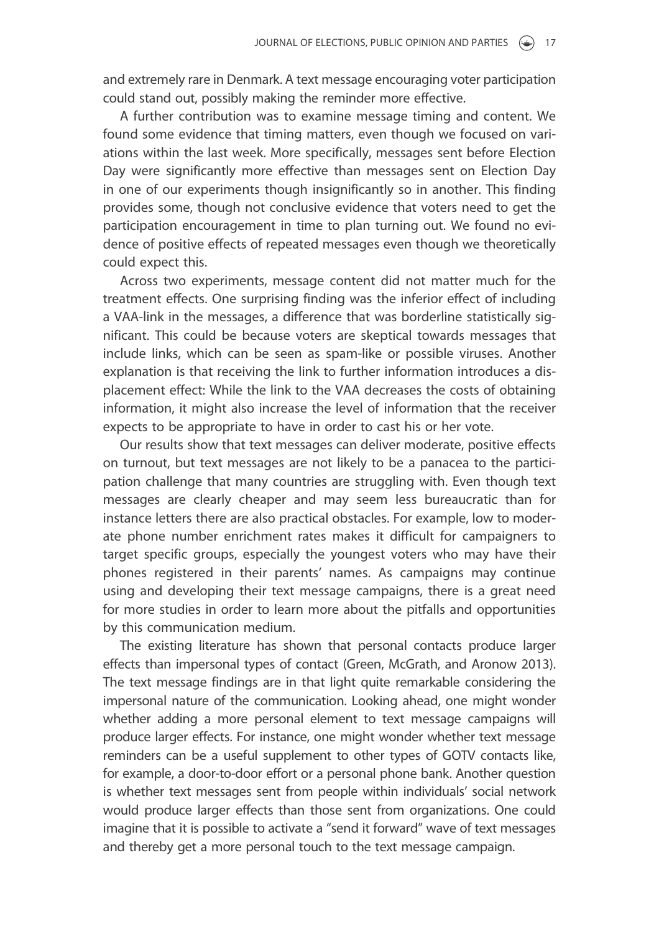and extremely rare in Denmark. A text message encouraging voter participation could stand out, possibly making the reminder more effective.

A further contribution was to examine message timing and content. We found some evidence that timing matters, even though we focused on variations within the last week. More specifically, messages sent before Election Day were significantly more effective than messages sent on Election Day in one of our experiments though insignificantly so in another. This finding provides some, though not conclusive evidence that voters need to get the participation encouragement in time to plan turning out. We found no evidence of positive effects of repeated messages even though we theoretically could expect this.

Across two experiments, message content did not matter much for the treatment effects. One surprising finding was the inferior effect of including a VAA-link in the messages, a difference that was borderline statistically significant. This could be because voters are skeptical towards messages that include links, which can be seen as spam-like or possible viruses. Another explanation is that receiving the link to further information introduces a displacement effect: While the link to the VAA decreases the costs of obtaining information, it might also increase the level of information that the receiver expects to be appropriate to have in order to cast his or her vote.

Our results show that text messages can deliver moderate, positive effects on turnout, but text messages are not likely to be a panacea to the participation challenge that many countries are struggling with. Even though text messages are clearly cheaper and may seem less bureaucratic than for instance letters there are also practical obstacles. For example, low to moderate phone number enrichment rates makes it difficult for campaigners to target specific groups, especially the youngest voters who may have their phones registered in their parents' names. As campaigns may continue using and developing their text message campaigns, there is a great need for more studies in order to learn more about the pitfalls and opportunities by this communication medium.

The existing literature has shown that personal contacts produce larger effects than impersonal types of contact (Green, McGrath, and Aronow 2013). The text message findings are in that light quite remarkable considering the impersonal nature of the communication. Looking ahead, one might wonder whether adding a more personal element to text message campaigns will produce larger effects. For instance, one might wonder whether text message reminders can be a useful supplement to other types of GOTV contacts like, for example, a door-to-door effort or a personal phone bank. Another question is whether text messages sent from people within individuals' social network would produce larger effects than those sent from organizations. One could imagine that it is possible to activate a "send it forward" wave of text messages and thereby get a more personal touch to the text message campaign.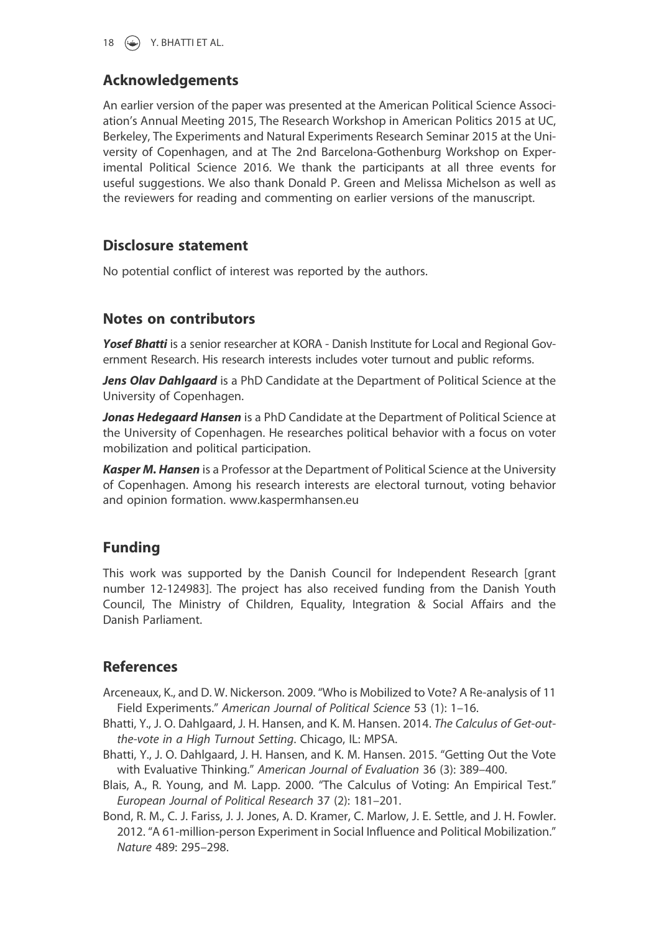

# Acknowledgements

An earlier version of the paper was presented at the American Political Science Association's Annual Meeting 2015, The Research Workshop in American Politics 2015 at UC, Berkeley, The Experiments and Natural Experiments Research Seminar 2015 at the University of Copenhagen, and at The 2nd Barcelona-Gothenburg Workshop on Experimental Political Science 2016. We thank the participants at all three events for useful suggestions. We also thank Donald P. Green and Melissa Michelson as well as the reviewers for reading and commenting on earlier versions of the manuscript.

# Disclosure statement

No potential conflict of interest was reported by the authors.

# Notes on contributors

Yosef Bhatti is a senior researcher at KORA - Danish Institute for Local and Regional Government Research. His research interests includes voter turnout and public reforms.

Jens Olav Dahlgaard is a PhD Candidate at the Department of Political Science at the University of Copenhagen.

Jonas Hedegaard Hansen is a PhD Candidate at the Department of Political Science at the University of Copenhagen. He researches political behavior with a focus on voter mobilization and political participation.

**Kasper M. Hansen** is a Professor at the Department of Political Science at the University of Copenhagen. Among his research interests are electoral turnout, voting behavior and opinion formation. www.kaspermhansen.eu

# Funding

This work was supported by the Danish Council for Independent Research [grant number 12-124983]. The project has also received funding from the Danish Youth Council, The Ministry of Children, Equality, Integration & Social Affairs and the Danish Parliament.

# **References**

- Arceneaux, K., and D. W. Nickerson. 2009. "Who is Mobilized to Vote? A Re-analysis of 11 Field Experiments." American Journal of Political Science 53 (1): 1–16.
- Bhatti, Y., J. O. Dahlgaard, J. H. Hansen, and K. M. Hansen. 2014. The Calculus of Get-outthe-vote in a High Turnout Setting. Chicago, IL: MPSA.
- Bhatti, Y., J. O. Dahlgaard, J. H. Hansen, and K. M. Hansen. 2015. "Getting Out the Vote with Evaluative Thinking." American Journal of Evaluation 36 (3): 389–400.
- Blais, A., R. Young, and M. Lapp. 2000. "The Calculus of Voting: An Empirical Test." European Journal of Political Research 37 (2): 181–201.
- Bond, R. M., C. J. Fariss, J. J. Jones, A. D. Kramer, C. Marlow, J. E. Settle, and J. H. Fowler. 2012. "A 61-million-person Experiment in Social Influence and Political Mobilization." Nature 489: 295–298.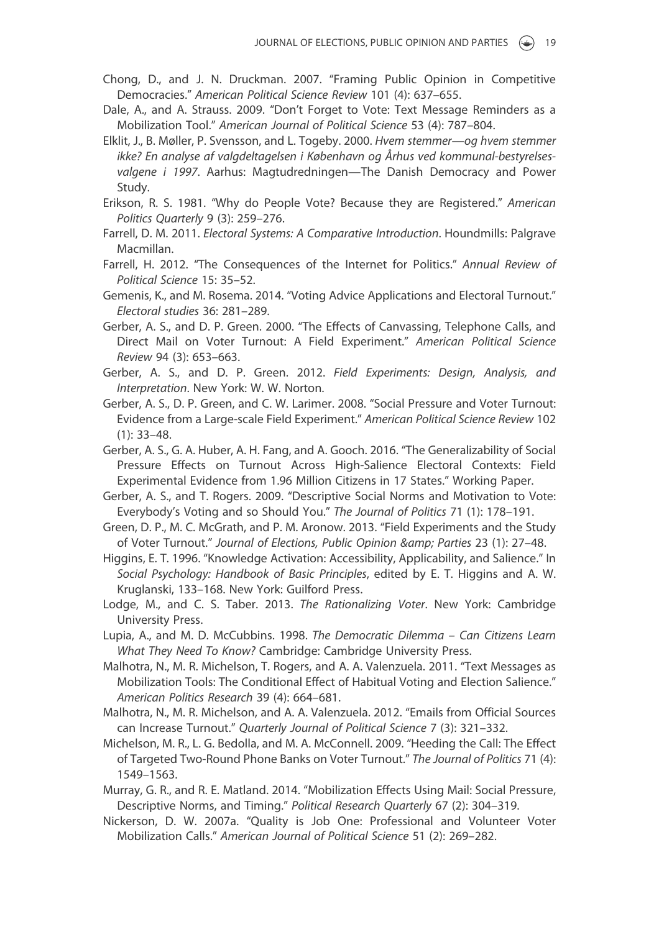- Chong, D., and J. N. Druckman. 2007. "Framing Public Opinion in Competitive Democracies." American Political Science Review 101 (4): 637–655.
- Dale, A., and A. Strauss. 2009. "Don't Forget to Vote: Text Message Reminders as a Mobilization Tool." American Journal of Political Science 53 (4): 787–804.
- Elklit, J., B. Møller, P. Svensson, and L. Togeby. 2000. Hvem stemmer—og hvem stemmer ikke? En analyse af valgdeltagelsen i København og Århus ved kommunal-bestyrelsesvalgene i 1997. Aarhus: Magtudredningen—The Danish Democracy and Power Study.
- Erikson, R. S. 1981. "Why do People Vote? Because they are Registered." American Politics Quarterly 9 (3): 259–276.
- Farrell, D. M. 2011. Electoral Systems: A Comparative Introduction. Houndmills: Palgrave Macmillan.
- Farrell, H. 2012. "The Consequences of the Internet for Politics." Annual Review of Political Science 15: 35–52.
- Gemenis, K., and M. Rosema. 2014. "Voting Advice Applications and Electoral Turnout." Electoral studies 36: 281–289.
- Gerber, A. S., and D. P. Green. 2000. "The Effects of Canvassing, Telephone Calls, and Direct Mail on Voter Turnout: A Field Experiment." American Political Science Review 94 (3): 653–663.
- Gerber, A. S., and D. P. Green. 2012. Field Experiments: Design, Analysis, and Interpretation. New York: W. W. Norton.
- Gerber, A. S., D. P. Green, and C. W. Larimer. 2008. "Social Pressure and Voter Turnout: Evidence from a Large-scale Field Experiment." American Political Science Review 102 (1): 33–48.
- Gerber, A. S., G. A. Huber, A. H. Fang, and A. Gooch. 2016. "The Generalizability of Social Pressure Effects on Turnout Across High-Salience Electoral Contexts: Field Experimental Evidence from 1.96 Million Citizens in 17 States." Working Paper.
- Gerber, A. S., and T. Rogers. 2009. "Descriptive Social Norms and Motivation to Vote: Everybody's Voting and so Should You." The Journal of Politics 71 (1): 178–191.
- Green, D. P., M. C. McGrath, and P. M. Aronow. 2013. "Field Experiments and the Study of Voter Turnout." Journal of Elections, Public Opinion & amp; Parties 23 (1): 27-48.
- Higgins, E. T. 1996. "Knowledge Activation: Accessibility, Applicability, and Salience." In Social Psychology: Handbook of Basic Principles, edited by E. T. Higgins and A. W. Kruglanski, 133–168. New York: Guilford Press.
- Lodge, M., and C. S. Taber. 2013. The Rationalizing Voter. New York: Cambridge University Press.
- Lupia, A., and M. D. McCubbins. 1998. The Democratic Dilemma Can Citizens Learn What They Need To Know? Cambridge: Cambridge University Press.
- Malhotra, N., M. R. Michelson, T. Rogers, and A. A. Valenzuela. 2011. "Text Messages as Mobilization Tools: The Conditional Effect of Habitual Voting and Election Salience." American Politics Research 39 (4): 664–681.
- Malhotra, N., M. R. Michelson, and A. A. Valenzuela. 2012. "Emails from Official Sources can Increase Turnout." Quarterly Journal of Political Science 7 (3): 321–332.
- Michelson, M. R., L. G. Bedolla, and M. A. McConnell. 2009. "Heeding the Call: The Effect of Targeted Two-Round Phone Banks on Voter Turnout." The Journal of Politics 71 (4): 1549–1563.
- Murray, G. R., and R. E. Matland. 2014. "Mobilization Effects Using Mail: Social Pressure, Descriptive Norms, and Timing." Political Research Quarterly 67 (2): 304–319.
- Nickerson, D. W. 2007a. "Quality is Job One: Professional and Volunteer Voter Mobilization Calls." American Journal of Political Science 51 (2): 269–282.